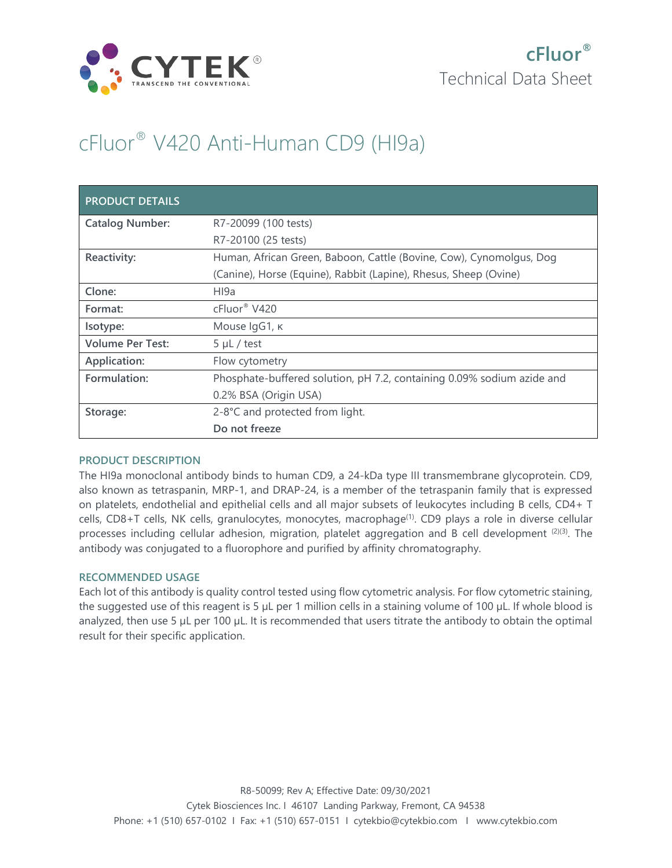

## cFluor® V420 Anti-Human CD9 (HI9a)

| <b>PRODUCT DETAILS</b>  |                                                                        |
|-------------------------|------------------------------------------------------------------------|
| <b>Catalog Number:</b>  | R7-20099 (100 tests)                                                   |
|                         | R7-20100 (25 tests)                                                    |
| Reactivity:             | Human, African Green, Baboon, Cattle (Bovine, Cow), Cynomolgus, Dog    |
|                         | (Canine), Horse (Equine), Rabbit (Lapine), Rhesus, Sheep (Ovine)       |
| Clone:                  | HI9a                                                                   |
| Format:                 | cFluor <sup>®</sup> V420                                               |
| Isotype:                | Mouse IgG1, K                                                          |
| <b>Volume Per Test:</b> | $5 \mu L$ / test                                                       |
| Application:            | Flow cytometry                                                         |
| Formulation:            | Phosphate-buffered solution, pH 7.2, containing 0.09% sodium azide and |
|                         | 0.2% BSA (Origin USA)                                                  |
| Storage:                | 2-8°C and protected from light.                                        |
|                         | Do not freeze                                                          |

## **PRODUCT DESCRIPTION**

The HI9a monoclonal antibody binds to human CD9, a 24-kDa type III transmembrane glycoprotein. CD9, also known as tetraspanin, MRP-1, and DRAP-24, is a member of the tetraspanin family that is expressed on platelets, endothelial and epithelial cells and all major subsets of leukocytes including B cells, CD4+ T cells, CD8+T cells, NK cells, granulocytes, monocytes, macrophage<sup>(1)</sup>. CD9 plays a role in diverse cellular processes including cellular adhesion, migration, platelet aggregation and B cell development (2)(3). The antibody was conjugated to a fluorophore and purified by affinity chromatography.

## **RECOMMENDED USAGE**

Each lot of this antibody is quality control tested using flow cytometric analysis. For flow cytometric staining, the suggested use of this reagent is 5 µL per 1 million cells in a staining volume of 100 µL. If whole blood is analyzed, then use 5 µL per 100 µL. It is recommended that users titrate the antibody to obtain the optimal result for their specific application.